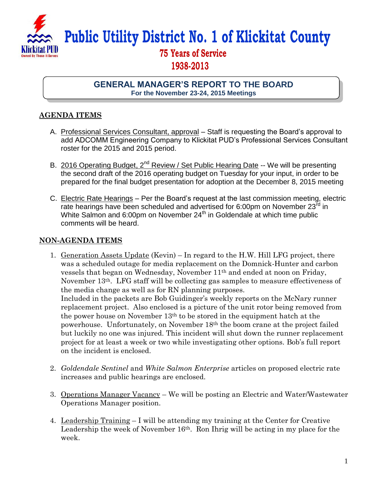

**Public Utility District No. 1 of Klickitat County**

## **75 Years of Service 1938-2013**

## **GENERAL MANAGER'S REPORT TO THE BOARD For the November 23-24, 2015 Meetings**

## **AGENDA ITEMS**

- A. Professional Services Consultant, approval Staff is requesting the Board's approval to add ADCOMM Engineering Company to Klickitat PUD's Professional Services Consultant roster for the 2015 and 2015 period.
- B. 2016 Operating Budget, 2<sup>nd</sup> Review / Set Public Hearing Date -- We will be presenting the second draft of the 2016 operating budget on Tuesday for your input, in order to be prepared for the final budget presentation for adoption at the December 8, 2015 meeting
- C. Electric Rate Hearings Per the Board's request at the last commission meeting, electric rate hearings have been scheduled and advertised for 6:00pm on November  $23^{\overline{rd}}$  in White Salmon and 6:00pm on November 24<sup>th</sup> in Goldendale at which time public comments will be heard.

## **NON-AGENDA ITEMS**

- 1. Generation Assets Update (Kevin) In regard to the H.W. Hill LFG project, there was a scheduled outage for media replacement on the Domnick-Hunter and carbon vessels that began on Wednesday, November 11th and ended at noon on Friday, November 13th. LFG staff will be collecting gas samples to measure effectiveness of the media change as well as for RN planning purposes. Included in the packets are Bob Guidinger's weekly reports on the McNary runner replacement project. Also enclosed is a picture of the unit rotor being removed from the power house on November 13th to be stored in the equipment hatch at the powerhouse. Unfortunately, on November 18th the boom crane at the project failed but luckily no one was injured. This incident will shut down the runner replacement project for at least a week or two while investigating other options. Bob's full report on the incident is enclosed.
- 2. *Goldendale Sentinel* and *White Salmon Enterprise* articles on proposed electric rate increases and public hearings are enclosed.
- 3. Operations Manager Vacancy We will be posting an Electric and Water/Wastewater Operations Manager position.
- 4. Leadership Training I will be attending my training at the Center for Creative Leadership the week of November 16th. Ron Ihrig will be acting in my place for the week.